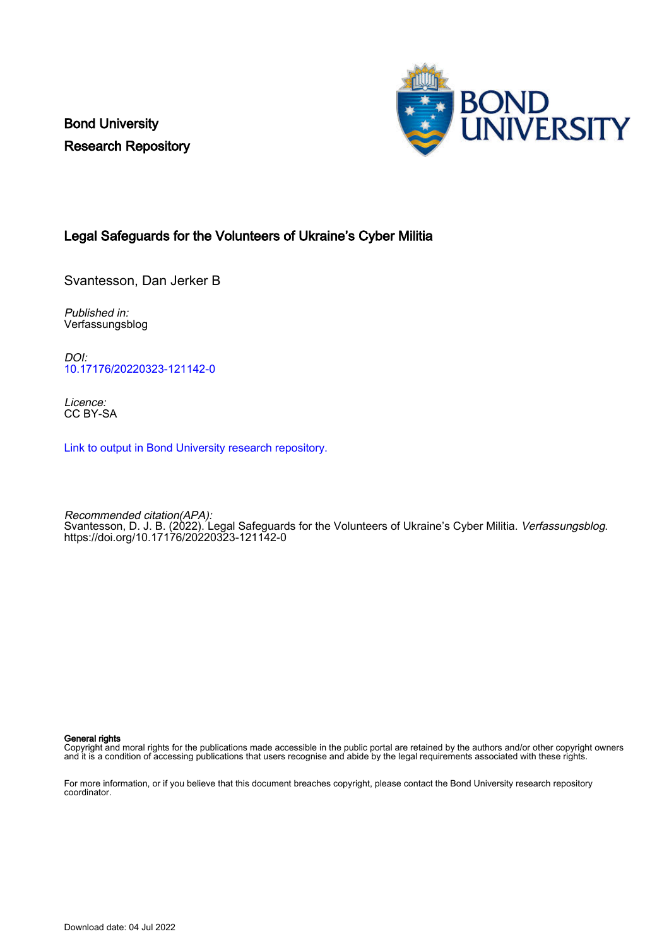Bond University Research Repository



#### Legal Safeguards for the Volunteers of Ukraine's Cyber Militia

Svantesson, Dan Jerker B

Published in: Verfassungsblog

DOI: [10.17176/20220323-121142-0](https://doi.org/10.17176/20220323-121142-0)

Licence: CC BY-SA

[Link to output in Bond University research repository.](https://research.bond.edu.au/en/publications/5b208baa-698f-48f1-b610-2286b6c2e3c2)

Recommended citation(APA): Svantesson, D. J. B. (2022). Legal Safeguards for the Volunteers of Ukraine's Cyber Militia. *Verfassungsblog.* <https://doi.org/10.17176/20220323-121142-0>

#### General rights

Copyright and moral rights for the publications made accessible in the public portal are retained by the authors and/or other copyright owners and it is a condition of accessing publications that users recognise and abide by the legal requirements associated with these rights.

For more information, or if you believe that this document breaches copyright, please contact the Bond University research repository coordinator.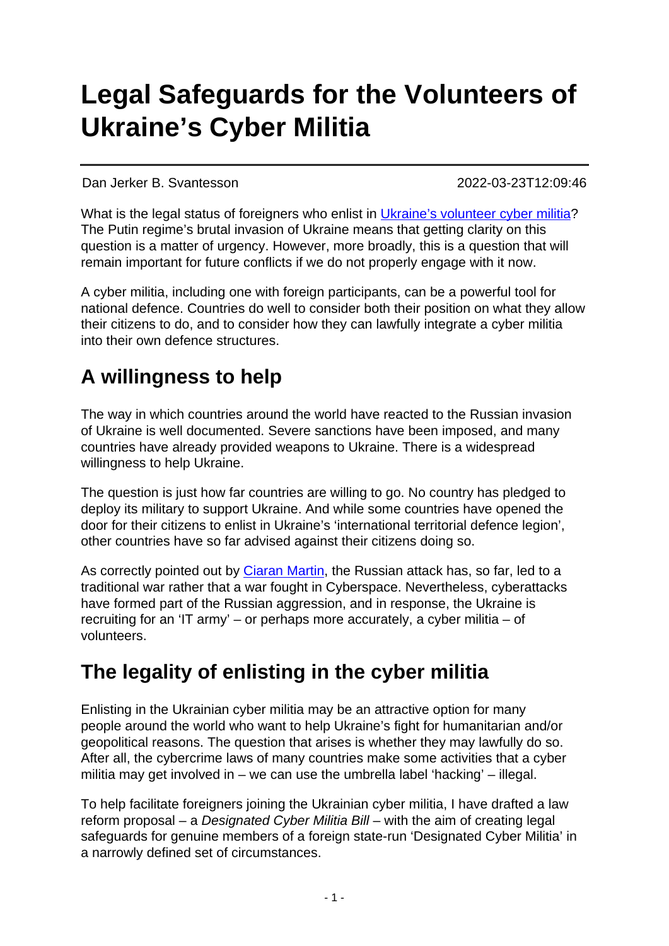# **Legal Safeguards for the Volunteers of Ukraine's Cyber Militia**

Dan Jerker B. Svantesson 2022-03-23T12:09:46

What is the legal status of foreigners who enlist in [Ukraine's volunteer cyber militia](https://www.sbs.com.au/news/article/destroying-russian-infrastructure-while-bringing-humour-to-the-nation-inside-ukraines-it-army/omkqwin1z)? The Putin regime's brutal invasion of Ukraine means that getting clarity on this question is a matter of urgency. However, more broadly, this is a question that will remain important for future conflicts if we do not properly engage with it now.

A cyber militia, including one with foreign participants, can be a powerful tool for national defence. Countries do well to consider both their position on what they allow their citizens to do, and to consider how they can lawfully integrate a cyber militia into their own defence structures.

## **A willingness to help**

The way in which countries around the world have reacted to the Russian invasion of Ukraine is well documented. Severe sanctions have been imposed, and many countries have already provided weapons to Ukraine. There is a widespread willingness to help Ukraine.

The question is just how far countries are willing to go. No country has pledged to deploy its military to support Ukraine. And while some countries have opened the door for their citizens to enlist in Ukraine's 'international territorial defence legion', other countries have so far advised against their citizens doing so.

As correctly pointed out by [Ciaran Martin,](https://www.lawfareblog.com/cyber-realism-time-war) the Russian attack has, so far, led to a traditional war rather that a war fought in Cyberspace. Nevertheless, cyberattacks have formed part of the Russian aggression, and in response, the Ukraine is recruiting for an 'IT army' – or perhaps more accurately, a cyber militia – of volunteers.

### **The legality of enlisting in the cyber militia**

Enlisting in the Ukrainian cyber militia may be an attractive option for many people around the world who want to help Ukraine's fight for humanitarian and/or geopolitical reasons. The question that arises is whether they may lawfully do so. After all, the cybercrime laws of many countries make some activities that a cyber militia may get involved in – we can use the umbrella label 'hacking' – illegal.

To help facilitate foreigners joining the Ukrainian cyber militia, I have drafted a law reform proposal – a Designated Cyber Militia Bill – with the aim of creating legal safeguards for genuine members of a foreign state-run 'Designated Cyber Militia' in a narrowly defined set of circumstances.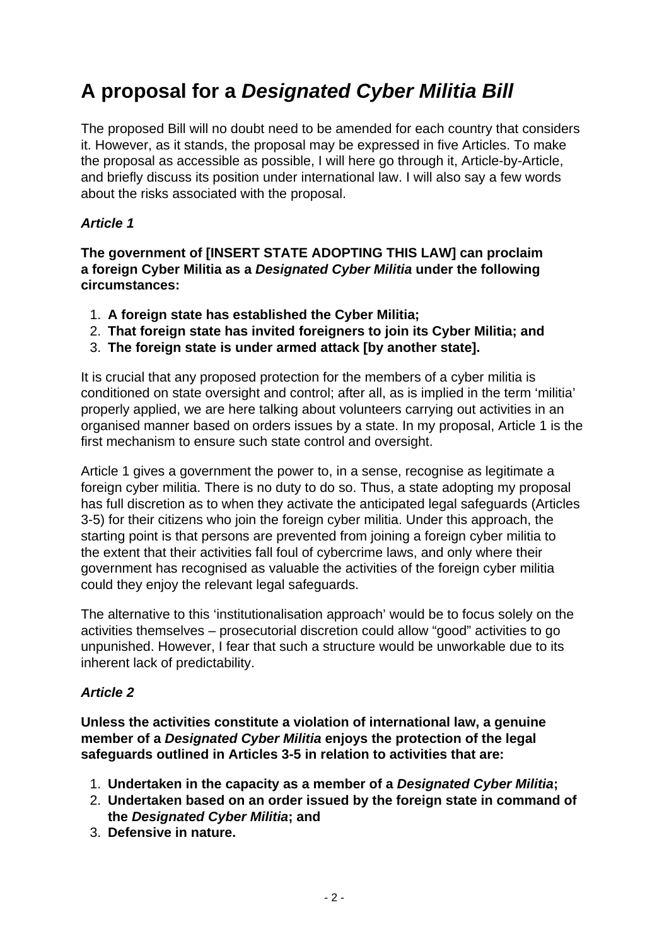## **A proposal for a Designated Cyber Militia Bill**

The proposed Bill will no doubt need to be amended for each country that considers it. However, as it stands, the proposal may be expressed in five Articles. To make the proposal as accessible as possible, I will here go through it, Article-by-Article, and briefly discuss its position under international law. I will also say a few words about the risks associated with the proposal.

#### **Article 1**

**The government of [INSERT STATE ADOPTING THIS LAW] can proclaim a foreign Cyber Militia as a Designated Cyber Militia under the following circumstances:**

- 1. **A foreign state has established the Cyber Militia;**
- 2. **That foreign state has invited foreigners to join its Cyber Militia; and**
- 3. **The foreign state is under armed attack [by another state].**

It is crucial that any proposed protection for the members of a cyber militia is conditioned on state oversight and control; after all, as is implied in the term 'militia' properly applied, we are here talking about volunteers carrying out activities in an organised manner based on orders issues by a state. In my proposal, Article 1 is the first mechanism to ensure such state control and oversight.

Article 1 gives a government the power to, in a sense, recognise as legitimate a foreign cyber militia. There is no duty to do so. Thus, a state adopting my proposal has full discretion as to when they activate the anticipated legal safeguards (Articles 3-5) for their citizens who join the foreign cyber militia. Under this approach, the starting point is that persons are prevented from joining a foreign cyber militia to the extent that their activities fall foul of cybercrime laws, and only where their government has recognised as valuable the activities of the foreign cyber militia could they enjoy the relevant legal safeguards.

The alternative to this 'institutionalisation approach' would be to focus solely on the activities themselves – prosecutorial discretion could allow "good" activities to go unpunished. However, I fear that such a structure would be unworkable due to its inherent lack of predictability.

#### **Article 2**

**Unless the activities constitute a violation of international law, a genuine member of a Designated Cyber Militia enjoys the protection of the legal safeguards outlined in Articles 3-5 in relation to activities that are:**

- 1. **Undertaken in the capacity as a member of a Designated Cyber Militia;**
- 2. **Undertaken based on an order issued by the foreign state in command of the Designated Cyber Militia; and**
- 3. **Defensive in nature.**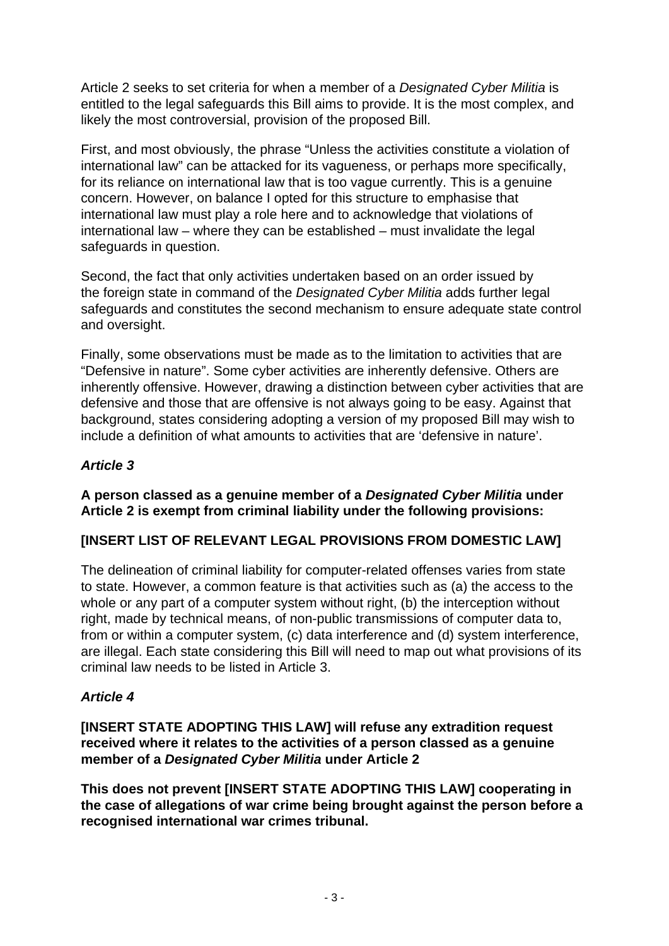Article 2 seeks to set criteria for when a member of a Designated Cyber Militia is entitled to the legal safeguards this Bill aims to provide. It is the most complex, and likely the most controversial, provision of the proposed Bill.

First, and most obviously, the phrase "Unless the activities constitute a violation of international law" can be attacked for its vagueness, or perhaps more specifically, for its reliance on international law that is too vague currently. This is a genuine concern. However, on balance I opted for this structure to emphasise that international law must play a role here and to acknowledge that violations of international law – where they can be established – must invalidate the legal safeguards in question.

Second, the fact that only activities undertaken based on an order issued by the foreign state in command of the Designated Cyber Militia adds further legal safeguards and constitutes the second mechanism to ensure adequate state control and oversight.

Finally, some observations must be made as to the limitation to activities that are "Defensive in nature". Some cyber activities are inherently defensive. Others are inherently offensive. However, drawing a distinction between cyber activities that are defensive and those that are offensive is not always going to be easy. Against that background, states considering adopting a version of my proposed Bill may wish to include a definition of what amounts to activities that are 'defensive in nature'.

#### **Article 3**

**A person classed as a genuine member of a Designated Cyber Militia under Article 2 is exempt from criminal liability under the following provisions:**

#### **[INSERT LIST OF RELEVANT LEGAL PROVISIONS FROM DOMESTIC LAW]**

The delineation of criminal liability for computer-related offenses varies from state to state. However, a common feature is that activities such as (a) the access to the whole or any part of a computer system without right, (b) the interception without right, made by technical means, of non-public transmissions of computer data to, from or within a computer system, (c) data interference and (d) system interference, are illegal. Each state considering this Bill will need to map out what provisions of its criminal law needs to be listed in Article 3.

### **Article 4**

**[INSERT STATE ADOPTING THIS LAW] will refuse any extradition request received where it relates to the activities of a person classed as a genuine member of a Designated Cyber Militia under Article 2**

**This does not prevent [INSERT STATE ADOPTING THIS LAW] cooperating in the case of allegations of war crime being brought against the person before a recognised international war crimes tribunal.**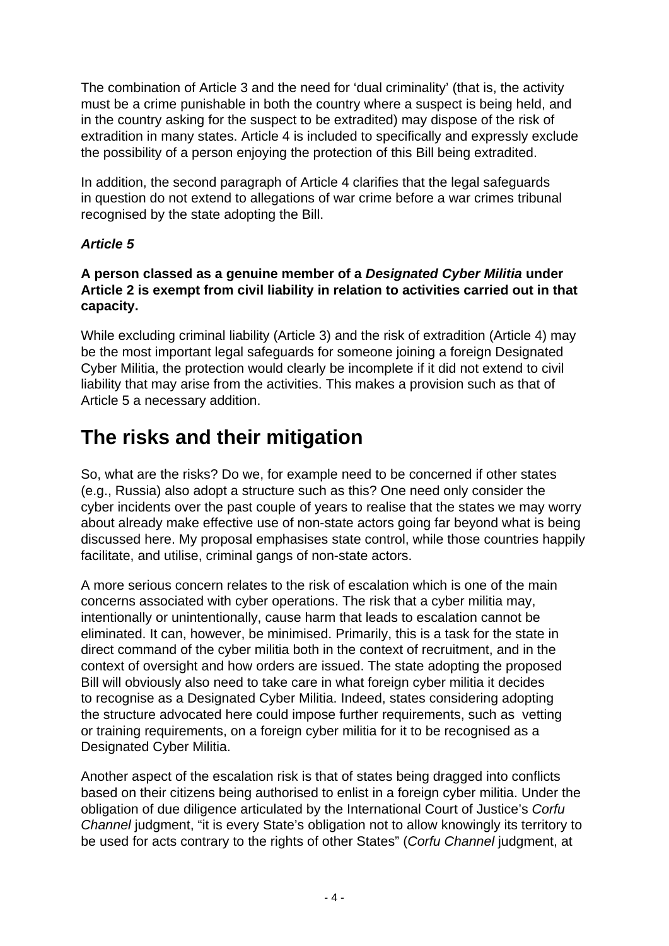The combination of Article 3 and the need for 'dual criminality' (that is, the activity must be a crime punishable in both the country where a suspect is being held, and in the country asking for the suspect to be extradited) may dispose of the risk of extradition in many states. Article 4 is included to specifically and expressly exclude the possibility of a person enjoying the protection of this Bill being extradited.

In addition, the second paragraph of Article 4 clarifies that the legal safeguards in question do not extend to allegations of war crime before a war crimes tribunal recognised by the state adopting the Bill.

#### **Article 5**

#### **A person classed as a genuine member of a Designated Cyber Militia under Article 2 is exempt from civil liability in relation to activities carried out in that capacity.**

While excluding criminal liability (Article 3) and the risk of extradition (Article 4) may be the most important legal safeguards for someone joining a foreign Designated Cyber Militia, the protection would clearly be incomplete if it did not extend to civil liability that may arise from the activities. This makes a provision such as that of Article 5 a necessary addition.

### **The risks and their mitigation**

So, what are the risks? Do we, for example need to be concerned if other states (e.g., Russia) also adopt a structure such as this? One need only consider the cyber incidents over the past couple of years to realise that the states we may worry about already make effective use of non-state actors going far beyond what is being discussed here. My proposal emphasises state control, while those countries happily facilitate, and utilise, criminal gangs of non-state actors.

A more serious concern relates to the risk of escalation which is one of the main concerns associated with cyber operations. The risk that a cyber militia may, intentionally or unintentionally, cause harm that leads to escalation cannot be eliminated. It can, however, be minimised. Primarily, this is a task for the state in direct command of the cyber militia both in the context of recruitment, and in the context of oversight and how orders are issued. The state adopting the proposed Bill will obviously also need to take care in what foreign cyber militia it decides to recognise as a Designated Cyber Militia. Indeed, states considering adopting the structure advocated here could impose further requirements, such as vetting or training requirements, on a foreign cyber militia for it to be recognised as a Designated Cyber Militia.

Another aspect of the escalation risk is that of states being dragged into conflicts based on their citizens being authorised to enlist in a foreign cyber militia. Under the obligation of due diligence articulated by the International Court of Justice's Corfu Channel judgment, "it is every State's obligation not to allow knowingly its territory to be used for acts contrary to the rights of other States" (Corfu Channel judgment, at